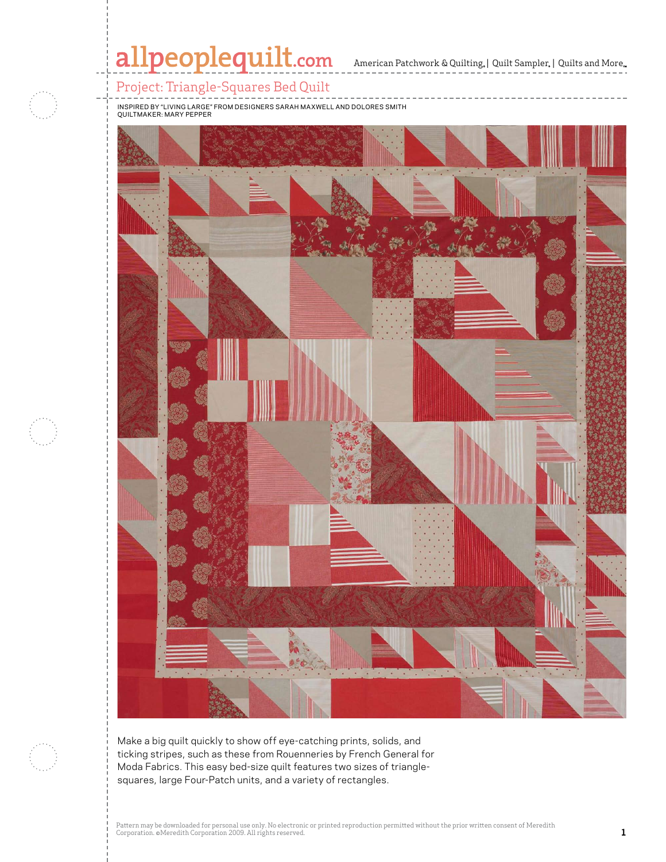

Pattern may be downloaded for personal use only. No electronic or personal use only. No electronic or personal use only. No electronic or prior written consent of Meredithhead and Meredithhead and Meredithhead and Meredith

Corporation. ©Meredith Corporation. ©Meredith Corporation. ©Meredith Corporation 2009. All rights reserved. Co<br>All rights reserved. All rights reserved. All rights reserved. All rights reserved. All rights reserved. All r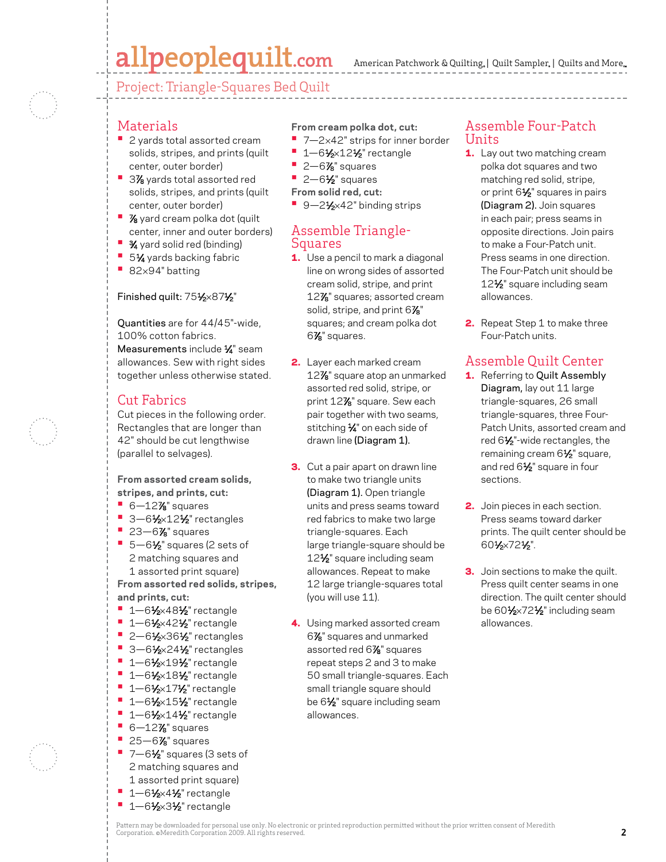# allpeoplequilt.com

American Patchwork & Quilting, | Quilt Sampler, | Quilts and More...

Project: Triangle-Squares Bed Quilt

- **•**  2 yards total assorted cream solids, stripes, and prints (quilt center, outer border)
- 3% yards total assorted red solids, stripes, and prints (quilt center, outer border)
- **<sup>•</sup>**  $\frac{7}{8}$  yard cream polka dot (quilt center, inner and outer borders)
- **3⁄4** yard solid red (binding)
- **51⁄4** yards backing fabric
- **•**  <sup>82</sup>×94" batting

Materials

#### Finished quilt: 751⁄2×871⁄2"

Quantities are for 44/45"-wide, 100% cotton fabrics. Measurements include 1/4" seam allowances. Sew with right sides together unless otherwise stated.

# Cut Fabrics

Cut pieces in the following order. Rectangles that are longer than 42" should be cut lengthwise (parallel to selvages).

#### **From assorted cream solids, stripes, and prints, cut:**

- **•** 6-12% squares
- **•** 3-61⁄2×121⁄2" rectangles
- **•** 23-6% squares ■ 5-6½" squares (2 sets of 2 matching squares and 1 assorted print square)

**From assorted red solids, stripes, and prints, cut:**

- **•** 1-61⁄2×481⁄2" rectangle
- **•** 1-61/<sub>2</sub>×421/<sub>2</sub>" rectangle
- **•** 2-61⁄2×361⁄2" rectangles
- 3-61⁄<sub>2</sub>×241⁄<sub>2</sub>" rectangles
- **•** 1-61⁄2×191⁄2" rectangle
- **•** 1-61/<sub>2</sub>×181/<sub>2</sub>" rectangle
- **<sup>•</sup>** 1-61⁄2×171⁄2" rectangle
- **•** 1-61⁄2×151⁄2" rectangle
- **•** 1-61/<sub>2</sub>×141/<sub>2</sub>" rectangle
- **•** 6-12% squares **•** 25–6% squares
- 
- **•** 7-61/<sub>2</sub>" squares (3 sets of 2 matching squares and 1 assorted print square)
- 1-61/<sub>2</sub>×41/<sub>2</sub>" rectangle
- **•** 1-61/<sub>2</sub>×31/<sub>2</sub>" rectangle

#### **From cream polka dot, cut:**

- 7-2×42" strips for inner border
- **•** 1-61/<sub>2</sub>×121/<sub>2</sub>" rectangle
- **•** 2-6% squares
- **•** 2-6<sup>1</sup>⁄<sub>2</sub>" squares
- **From solid red, cut:**
- 9-21⁄<sub>2×42</sub>" binding strips

### Assemble Triangle-Squares

- **1.** Use a pencil to mark a diagonal line on wrong sides of assorted cream solid, stripe, and print 127 ⁄8" squares; assorted cream solid, stripe, and print 6 $\mathrm{Zs}^{\mathrm{u}}$ squares; and cream polka dot  $6\%$ " squares.
- 2. Layer each marked cream 127 ⁄8" square atop an unmarked assorted red solid, stripe, or print 127 ⁄8" square. Sew each pair together with two seams, stitching 1/4" on each side of drawn line (Diagram 1).
- **3.** Cut a pair apart on drawn line to make two triangle units (Diagram 1). Open triangle units and press seams toward red fabrics to make two large triangle-squares. Each large triangle-square should be 12<sup>1</sup>/<sub>2</sub>" square including seam allowances. Repeat to make 12 large triangle-squares total (you will use 11).
- 4. Using marked assorted cream 67 ⁄8" squares and unmarked assorted red 67 ⁄8" squares repeat steps 2 and 3 to make 50 small triangle-squares. Each small triangle square should be 6<sup>1/2</sup> square including seam allowances.

### Assemble Four-Patch Units

- 1. Lay out two matching cream polka dot squares and two matching red solid, stripe, or print  $6\frac{1}{2}$ " squares in pairs (Diagram 2). Join squares in each pair; press seams in opposite directions. Join pairs to make a Four-Patch unit. Press seams in one direction. The Four-Patch unit should be 12<sup>1</sup>/<sub>2</sub>" square including seam allowances.
- 2. Repeat Step 1 to make three Four-Patch units.

# Assemble Quilt Center

- 1. Referring to Quilt Assembly Diagram, lay out 11 large triangle-squares, 26 small triangle-squares, three Four-Patch Units, assorted cream and red 61⁄2"-wide rectangles, the remaining cream 6<sup>1/2</sup> square, and red 61⁄2" square in four sections.
- 2. Join pieces in each section. Press seams toward darker prints. The quilt center should be 601⁄2×721⁄2".
- **3.** Join sections to make the quilt. Press quilt center seams in one direction. The quilt center should be 601⁄2×721⁄2" including seam allowances.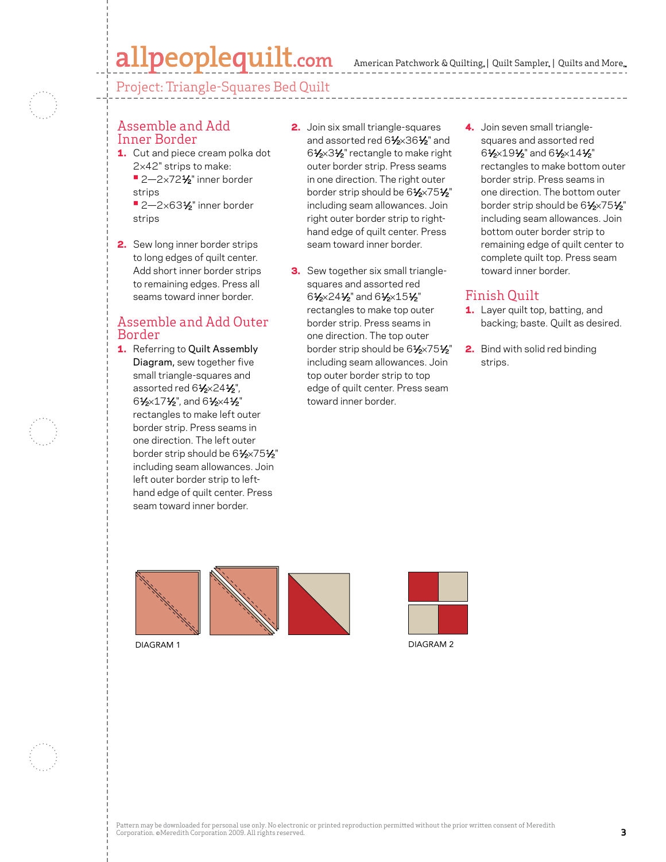# allpeoplequilt.com

American Patchwork & Quilting, | Quilt Sampler, | Quilts and More...

Project: Triangle-Squares Bed Quilt

#### Assemble and Add Inner Border

- 1. Cut and piece cream polka dot 2×42" strips to make: **•** 2—2×721⁄2" inner border strips
	- **•** 2—2×631⁄2" inner border strips
- 2. Sew long inner border strips to long edges of quilt center. Add short inner border strips to remaining edges. Press all seams toward inner border.

## Assemble and Add Outer Border

1. Referring to Quilt Assembly Diagram, sew together five small triangle-squares and assorted red 61⁄2×241⁄2", 61⁄2×171⁄2", and 61⁄2×41⁄2" rectangles to make left outer border strip. Press seams in one direction. The left outer border strip should be 61⁄2×751⁄2" including seam allowances. Join left outer border strip to lefthand edge of quilt center. Press seam toward inner border.

- 2. Join six small triangle-squares and assorted red 61⁄2×361⁄2" and 61⁄2×31⁄2" rectangle to make right outer border strip. Press seams in one direction. The right outer border strip should be 61⁄2×751⁄2" including seam allowances. Join right outer border strip to righthand edge of quilt center. Press seam toward inner border.
- **3.** Sew together six small trianglesquares and assorted red 61⁄2×241⁄2" and 61⁄2×151⁄2" rectangles to make top outer border strip. Press seams in one direction. The top outer border strip should be 61⁄2×751⁄2" including seam allowances. Join top outer border strip to top edge of quilt center. Press seam toward inner border.
- 4. Join seven small trianglesquares and assorted red 61⁄2×191⁄2" and 61⁄2×141⁄2" rectangles to make bottom outer border strip. Press seams in one direction. The bottom outer border strip should be 61⁄2×751⁄2" including seam allowances. Join bottom outer border strip to remaining edge of quilt center to complete quilt top. Press seam toward inner border.

# Finish Quilt

- 1. Layer quilt top, batting, and backing; baste. Quilt as desired.
- 2. Bind with solid red binding strips.



DIAGRAM 1